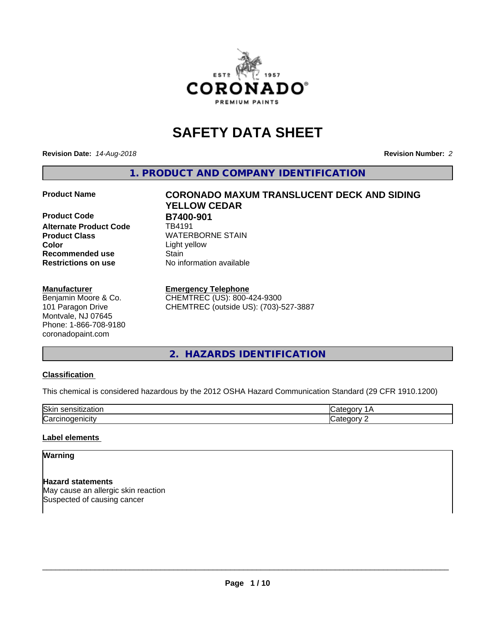

# **SAFETY DATA SHEET**

**Revision Date:** *14-Aug-2018* **Revision Number:** *2*

**1. PRODUCT AND COMPANY IDENTIFICATION**

**Product Code B7400-901**<br>Alternate Product Code **B**784191 **Alternate Product Code Product Class** WATERBORNE STAIN<br> **Color** Light vellow **Recommended use Stain Restrictions on use** No information available

#### **Manufacturer**

Benjamin Moore & Co. 101 Paragon Drive Montvale, NJ 07645 Phone: 1-866-708-9180 coronadopaint.com

# **Product Name CORONADO MAXUM TRANSLUCENT DECK AND SIDING YELLOW CEDAR Color** Light yellow

#### **Emergency Telephone**

CHEMTREC (US): 800-424-9300 CHEMTREC (outside US): (703)-527-3887

# **2. HAZARDS IDENTIFICATION**

#### **Classification**

This chemical is considered hazardous by the 2012 OSHA Hazard Communication Standard (29 CFR 1910.1200)

| 'O⊳<br>OК |  |
|-----------|--|
| ∽         |  |

#### **Label elements**

### **Warning**

**Hazard statements** May cause an allergic skin reaction Suspected of causing cancer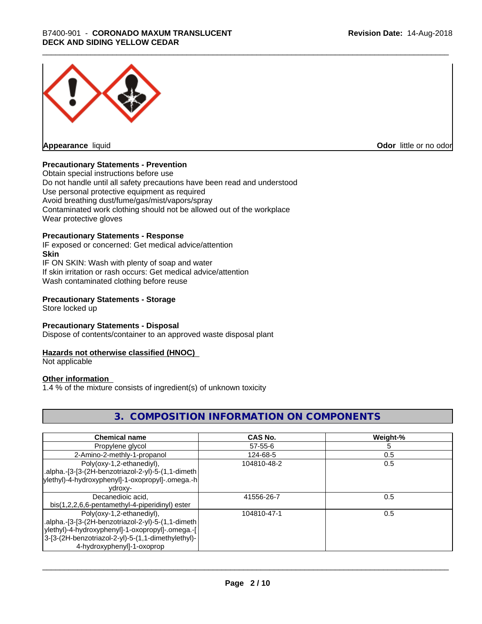

**Appearance** liquid **CODO** *Appearance liquid* **Odor** *CODO CODO* **<b>***CODO CODO CODO CODO CODO* 

#### **Precautionary Statements - Prevention**

Obtain special instructions before use Do not handle until all safety precautions have been read and understood Use personal protective equipment as required Avoid breathing dust/fume/gas/mist/vapors/spray Contaminated work clothing should not be allowed out of the workplace Wear protective gloves

#### **Precautionary Statements - Response**

IF exposed or concerned: Get medical advice/attention **Skin** IF ON SKIN: Wash with plenty of soap and water If skin irritation or rash occurs: Get medical advice/attention Wash contaminated clothing before reuse

#### **Precautionary Statements - Storage**

Store locked up

#### **Precautionary Statements - Disposal**

Dispose of contents/container to an approved waste disposal plant

#### **Hazards not otherwise classified (HNOC)**

Not applicable

#### **Other information**

1.4 % of the mixture consists of ingredient(s) of unknown toxicity

# **3. COMPOSITION INFORMATION ON COMPONENTS**

| <b>Chemical name</b>                               | CAS No.       | Weight-% |
|----------------------------------------------------|---------------|----------|
| Propylene glycol                                   | $57 - 55 - 6$ |          |
| 2-Amino-2-methly-1-propanol                        | 124-68-5      | 0.5      |
| Poly(oxy-1,2-ethanediyl),                          | 104810-48-2   | 0.5      |
| .alpha.-[3-[3-(2H-benzotriazol-2-yl)-5-(1,1-dimeth |               |          |
| ylethyl)-4-hydroxyphenyl]-1-oxopropyl]-.omega.-h   |               |          |
| ydroxy-                                            |               |          |
| Decanedioic acid,                                  | 41556-26-7    | 0.5      |
| bis(1,2,2,6,6-pentamethyl-4-piperidinyl) ester     |               |          |
| Poly(oxy-1,2-ethanediyl),                          | 104810-47-1   | 0.5      |
| .alpha.-[3-[3-(2H-benzotriazol-2-yl)-5-(1,1-dimeth |               |          |
| ylethyl)-4-hydroxyphenyl]-1-oxopropyl]-.omega.-[   |               |          |
| 3-[3-(2H-benzotriazol-2-yl)-5-(1,1-dimethylethyl)- |               |          |
| 4-hydroxyphenyl]-1-oxoprop                         |               |          |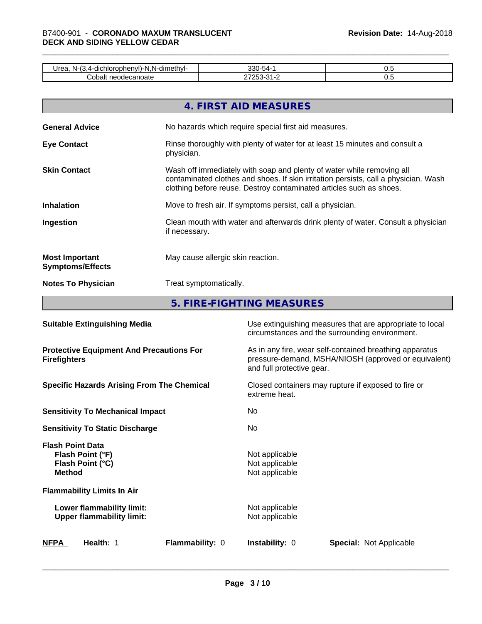### \_\_\_\_\_\_\_\_\_\_\_\_\_\_\_\_\_\_\_\_\_\_\_\_\_\_\_\_\_\_\_\_\_\_\_\_\_\_\_\_\_\_\_\_\_\_\_\_\_\_\_\_\_\_\_\_\_\_\_\_\_\_\_\_\_\_\_\_\_\_\_\_\_\_\_\_\_\_\_\_\_\_\_\_\_\_\_\_\_\_\_\_\_ B7400-901 - **CORONADO MAXUM TRANSLUCENT DECK AND SIDING YELLOW CEDAR**

| $\cdot$ .<br>lr≏:<br>∙dımeth∖<br>- M-4<br>11<br>1771.<br>. .<br>1-111<br>--- | - -<br><br>$\sim$<br>`` | ິ. |
|------------------------------------------------------------------------------|-------------------------|----|
| $\sim$<br>Πυαιι<br>-11<br>                                                   | −.<br>. .               | ິ. |

|                                                  | 4. FIRST AID MEASURES                                                                                                                                                                                                               |
|--------------------------------------------------|-------------------------------------------------------------------------------------------------------------------------------------------------------------------------------------------------------------------------------------|
| <b>General Advice</b>                            | No hazards which require special first aid measures.                                                                                                                                                                                |
| <b>Eye Contact</b>                               | Rinse thoroughly with plenty of water for at least 15 minutes and consult a<br>physician.                                                                                                                                           |
| <b>Skin Contact</b>                              | Wash off immediately with soap and plenty of water while removing all<br>contaminated clothes and shoes. If skin irritation persists, call a physician. Wash<br>clothing before reuse. Destroy contaminated articles such as shoes. |
| <b>Inhalation</b>                                | Move to fresh air. If symptoms persist, call a physician.                                                                                                                                                                           |
| Ingestion                                        | Clean mouth with water and afterwards drink plenty of water. Consult a physician<br>if necessary.                                                                                                                                   |
| <b>Most Important</b><br><b>Symptoms/Effects</b> | May cause allergic skin reaction.                                                                                                                                                                                                   |
| <b>Notes To Physician</b>                        | Treat symptomatically.                                                                                                                                                                                                              |

**5. FIRE-FIGHTING MEASURES**

| <b>Suitable Extinguishing Media</b>                                              | Use extinguishing measures that are appropriate to local<br>circumstances and the surrounding environment.                                   |
|----------------------------------------------------------------------------------|----------------------------------------------------------------------------------------------------------------------------------------------|
| <b>Protective Equipment And Precautions For</b><br><b>Firefighters</b>           | As in any fire, wear self-contained breathing apparatus<br>pressure-demand, MSHA/NIOSH (approved or equivalent)<br>and full protective gear. |
| <b>Specific Hazards Arising From The Chemical</b>                                | Closed containers may rupture if exposed to fire or<br>extreme heat.                                                                         |
| <b>Sensitivity To Mechanical Impact</b>                                          | No                                                                                                                                           |
| <b>Sensitivity To Static Discharge</b>                                           | N <sub>0</sub>                                                                                                                               |
| <b>Flash Point Data</b><br>Flash Point (°F)<br>Flash Point (°C)<br><b>Method</b> | Not applicable<br>Not applicable<br>Not applicable                                                                                           |
| <b>Flammability Limits In Air</b>                                                |                                                                                                                                              |
| Lower flammability limit:<br><b>Upper flammability limit:</b>                    | Not applicable<br>Not applicable                                                                                                             |
| <b>NFPA</b><br>Health: 1<br><b>Flammability: 0</b>                               | <b>Instability: 0</b><br><b>Special:</b> Not Applicable                                                                                      |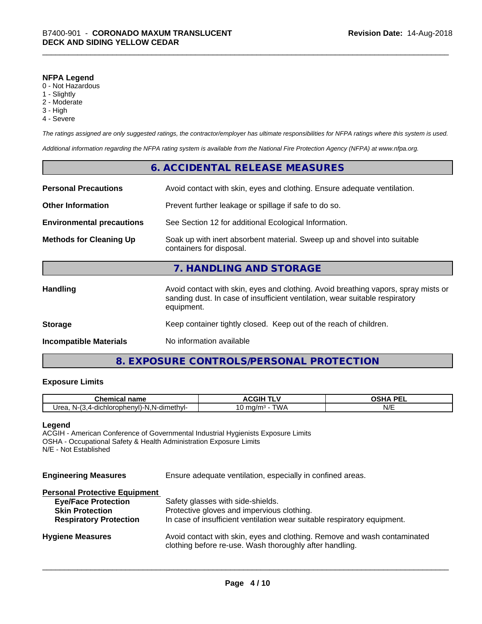#### **NFPA Legend**

- 0 Not Hazardous
- 1 Slightly
- 2 Moderate
- 3 High
- 4 Severe

*The ratings assigned are only suggested ratings, the contractor/employer has ultimate responsibilities for NFPA ratings where this system is used.*

*Additional information regarding the NFPA rating system is available from the National Fire Protection Agency (NFPA) at www.nfpa.org.*

|                                  | 6. ACCIDENTAL RELEASE MEASURES                                                                                                                                                   |  |
|----------------------------------|----------------------------------------------------------------------------------------------------------------------------------------------------------------------------------|--|
| <b>Personal Precautions</b>      | Avoid contact with skin, eyes and clothing. Ensure adequate ventilation.                                                                                                         |  |
| <b>Other Information</b>         | Prevent further leakage or spillage if safe to do so.                                                                                                                            |  |
| <b>Environmental precautions</b> | See Section 12 for additional Ecological Information.                                                                                                                            |  |
| <b>Methods for Cleaning Up</b>   | Soak up with inert absorbent material. Sweep up and shovel into suitable<br>containers for disposal.                                                                             |  |
|                                  | 7. HANDLING AND STORAGE                                                                                                                                                          |  |
| Handling                         | Avoid contact with skin, eyes and clothing. Avoid breathing vapors, spray mists or<br>sanding dust. In case of insufficient ventilation, wear suitable respiratory<br>equipment. |  |
| <b>Storage</b>                   | Keep container tightly closed. Keep out of the reach of children.                                                                                                                |  |
| <b>Incompatible Materials</b>    | No information available                                                                                                                                                         |  |
|                                  |                                                                                                                                                                                  |  |

# **8. EXPOSURE CONTROLS/PERSONAL PROTECTION**

#### **Exposure Limits**

| Chemic<br>name<br>۰а                                                           | . <b>.</b><br><br>aan<br>^`   | <b>DEI</b><br>$\sim$ $\sim$ $\sim$ $\sim$ |
|--------------------------------------------------------------------------------|-------------------------------|-------------------------------------------|
| $\cdot$ .<br>Urea.<br>-dichlorophenvl)-N.<br>.N-dimethyl-<br>N-4<br>∵⊶…<br>--- | TWA<br>$\cdot$ ma/m $\cdot$ . | NI/I<br>.                                 |

#### **Legend**

ACGIH - American Conference of Governmental Industrial Hygienists Exposure Limits OSHA - Occupational Safety & Health Administration Exposure Limits N/E - Not Established

| <b>Engineering Measures</b>          | Ensure adequate ventilation, especially in confined areas.                                                                          |
|--------------------------------------|-------------------------------------------------------------------------------------------------------------------------------------|
| <b>Personal Protective Equipment</b> |                                                                                                                                     |
| <b>Eye/Face Protection</b>           | Safety glasses with side-shields.                                                                                                   |
| <b>Skin Protection</b>               | Protective gloves and impervious clothing.                                                                                          |
| <b>Respiratory Protection</b>        | In case of insufficient ventilation wear suitable respiratory equipment.                                                            |
| <b>Hygiene Measures</b>              | Avoid contact with skin, eyes and clothing. Remove and wash contaminated<br>clothing before re-use. Wash thoroughly after handling. |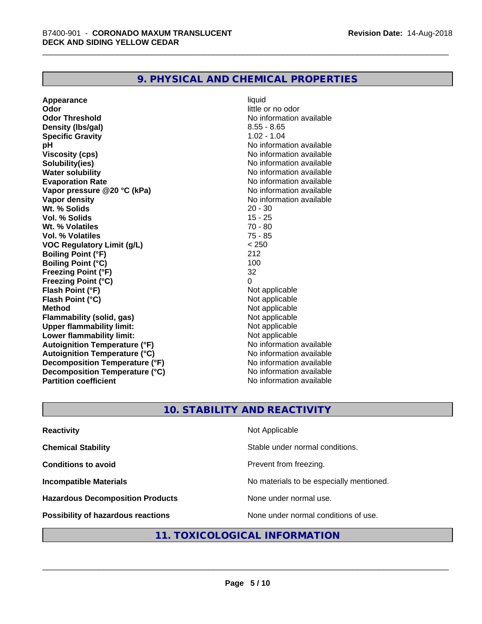# **9. PHYSICAL AND CHEMICAL PROPERTIES**

| Appearance                           | liquid                   |
|--------------------------------------|--------------------------|
| Odor                                 | little or no odor        |
| <b>Odor Threshold</b>                | No information available |
| Density (Ibs/gal)                    | $8.55 - 8.65$            |
| <b>Specific Gravity</b>              | $1.02 - 1.04$            |
| рH                                   | No information available |
| <b>Viscosity (cps)</b>               | No information available |
| Solubility(ies)                      | No information available |
| <b>Water solubility</b>              | No information available |
| <b>Evaporation Rate</b>              | No information available |
| Vapor pressure @20 °C (kPa)          | No information available |
| <b>Vapor density</b>                 | No information available |
| Wt. % Solids                         | $20 - 30$                |
| Vol. % Solids                        | $15 - 25$                |
| Wt. % Volatiles                      | $70 - 80$                |
| Vol. % Volatiles                     | $75 - 85$                |
| <b>VOC Regulatory Limit (g/L)</b>    | < 250                    |
| <b>Boiling Point (°F)</b>            | 212                      |
| <b>Boiling Point (°C)</b>            | 100                      |
| <b>Freezing Point (°F)</b>           | 32                       |
| <b>Freezing Point (°C)</b>           | 0                        |
| Flash Point (°F)                     | Not applicable           |
| Flash Point (°C)                     | Not applicable           |
| <b>Method</b>                        | Not applicable           |
| <b>Flammability (solid, gas)</b>     | Not applicable           |
| <b>Upper flammability limit:</b>     | Not applicable           |
| Lower flammability limit:            | Not applicable           |
| <b>Autoignition Temperature (°F)</b> | No information available |
| <b>Autoignition Temperature (°C)</b> | No information available |
| Decomposition Temperature (°F)       | No information available |
| Decomposition Temperature (°C)       | No information available |
| <b>Partition coefficient</b>         | No information available |

# **10. STABILITY AND REACTIVITY**

| <b>Reactivity</b>                       | Not Applicable                           |
|-----------------------------------------|------------------------------------------|
| <b>Chemical Stability</b>               | Stable under normal conditions.          |
| <b>Conditions to avoid</b>              | Prevent from freezing.                   |
| <b>Incompatible Materials</b>           | No materials to be especially mentioned. |
| <b>Hazardous Decomposition Products</b> | None under normal use.                   |
| Possibility of hazardous reactions      | None under normal conditions of use.     |

#### **11. TOXICOLOGICAL INFORMATION**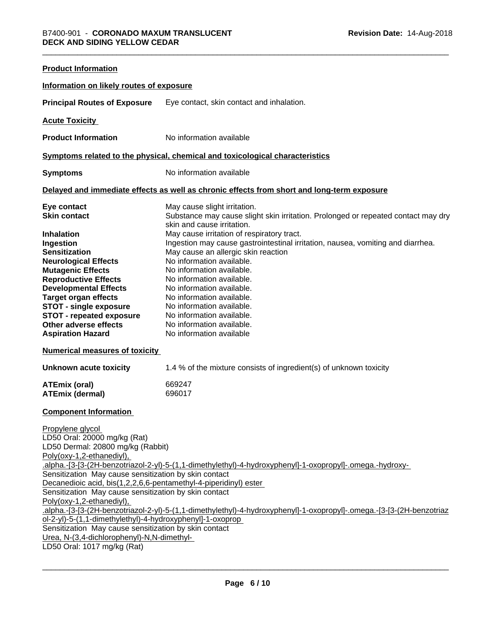| <b>Product Information</b>                                                                                                                                                                                                                                                                                                                                                                                                                                                                                                               |                                                                                                                                                                                                                                                                                                                                                                                                                                                                                                                                                                                             |
|------------------------------------------------------------------------------------------------------------------------------------------------------------------------------------------------------------------------------------------------------------------------------------------------------------------------------------------------------------------------------------------------------------------------------------------------------------------------------------------------------------------------------------------|---------------------------------------------------------------------------------------------------------------------------------------------------------------------------------------------------------------------------------------------------------------------------------------------------------------------------------------------------------------------------------------------------------------------------------------------------------------------------------------------------------------------------------------------------------------------------------------------|
| Information on likely routes of exposure                                                                                                                                                                                                                                                                                                                                                                                                                                                                                                 |                                                                                                                                                                                                                                                                                                                                                                                                                                                                                                                                                                                             |
| <b>Principal Routes of Exposure</b>                                                                                                                                                                                                                                                                                                                                                                                                                                                                                                      | Eye contact, skin contact and inhalation.                                                                                                                                                                                                                                                                                                                                                                                                                                                                                                                                                   |
| <b>Acute Toxicity</b>                                                                                                                                                                                                                                                                                                                                                                                                                                                                                                                    |                                                                                                                                                                                                                                                                                                                                                                                                                                                                                                                                                                                             |
| <b>Product Information</b>                                                                                                                                                                                                                                                                                                                                                                                                                                                                                                               | No information available                                                                                                                                                                                                                                                                                                                                                                                                                                                                                                                                                                    |
|                                                                                                                                                                                                                                                                                                                                                                                                                                                                                                                                          | Symptoms related to the physical, chemical and toxicological characteristics                                                                                                                                                                                                                                                                                                                                                                                                                                                                                                                |
| <b>Symptoms</b>                                                                                                                                                                                                                                                                                                                                                                                                                                                                                                                          | No information available                                                                                                                                                                                                                                                                                                                                                                                                                                                                                                                                                                    |
|                                                                                                                                                                                                                                                                                                                                                                                                                                                                                                                                          | Delayed and immediate effects as well as chronic effects from short and long-term exposure                                                                                                                                                                                                                                                                                                                                                                                                                                                                                                  |
| Eye contact<br><b>Skin contact</b><br><b>Inhalation</b><br>Ingestion<br><b>Sensitization</b><br><b>Neurological Effects</b><br><b>Mutagenic Effects</b><br><b>Reproductive Effects</b><br><b>Developmental Effects</b><br><b>Target organ effects</b><br><b>STOT - single exposure</b><br><b>STOT - repeated exposure</b><br>Other adverse effects<br><b>Aspiration Hazard</b><br><b>Numerical measures of toxicity</b>                                                                                                                  | May cause slight irritation.<br>Substance may cause slight skin irritation. Prolonged or repeated contact may dry<br>skin and cause irritation.<br>May cause irritation of respiratory tract.<br>Ingestion may cause gastrointestinal irritation, nausea, vomiting and diarrhea.<br>May cause an allergic skin reaction<br>No information available.<br>No information available.<br>No information available.<br>No information available.<br>No information available.<br>No information available.<br>No information available.<br>No information available.<br>No information available |
|                                                                                                                                                                                                                                                                                                                                                                                                                                                                                                                                          |                                                                                                                                                                                                                                                                                                                                                                                                                                                                                                                                                                                             |
| Unknown acute toxicity<br><b>ATEmix (oral)</b><br><b>ATEmix (dermal)</b>                                                                                                                                                                                                                                                                                                                                                                                                                                                                 | 1.4 % of the mixture consists of ingredient(s) of unknown toxicity<br>669247<br>696017                                                                                                                                                                                                                                                                                                                                                                                                                                                                                                      |
| <b>Component Information</b>                                                                                                                                                                                                                                                                                                                                                                                                                                                                                                             |                                                                                                                                                                                                                                                                                                                                                                                                                                                                                                                                                                                             |
| Propylene glycol<br>LD50 Oral: 20000 mg/kg (Rat)<br>LD50 Dermal: 20800 mg/kg (Rabbit)<br>Poly(oxy-1,2-ethanediyl),<br>Sensitization May cause sensitization by skin contact<br>Decanedioic acid, bis(1,2,2,6,6-pentamethyl-4-piperidinyl) ester<br>Sensitization May cause sensitization by skin contact<br>Poly(oxy-1,2-ethanediyl),<br>ol-2-yl)-5-(1,1-dimethylethyl)-4-hydroxyphenyl]-1-oxoprop<br>Sensitization May cause sensitization by skin contact<br>Urea, N-(3,4-dichlorophenyl)-N,N-dimethyl-<br>LD50 Oral: 1017 mg/kg (Rat) | .alpha.-[3-[3-(2H-benzotriazol-2-yl)-5-(1,1-dimethylethyl)-4-hydroxyphenyl]-1-oxopropyl]-.omega.-hydroxy-<br>.alpha.-[3-[3-(2H-benzotriazol-2-yl)-5-(1,1-dimethylethyl)-4-hydroxyphenyl]-1-oxopropyl]-.omega.-[3-[3-(2H-benzotriaz                                                                                                                                                                                                                                                                                                                                                          |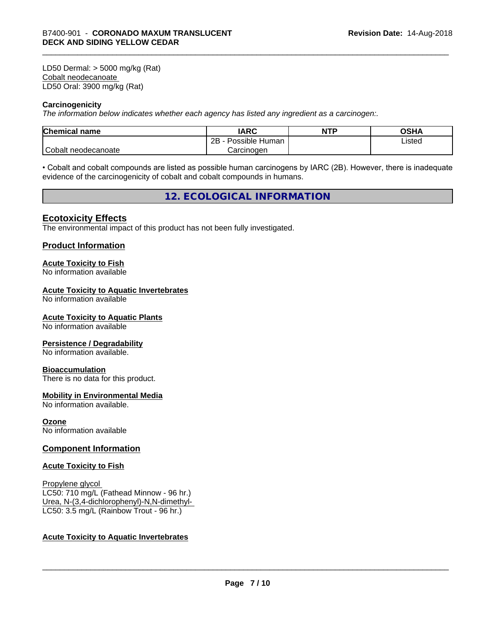LD50 Dermal: > 5000 mg/kg (Rat) Cobalt neodecanoate LD50 Oral: 3900 mg/kg (Rat)

#### **Carcinogenicity**

*The information below indicateswhether each agency has listed any ingredient as a carcinogen:.*

| <b>Chemical name</b> | <b>IARC</b>                 | <b>NTP</b> | <b>OSHA</b> |
|----------------------|-----------------------------|------------|-------------|
|                      | . .<br>2B<br>Possible Human |            | Listed      |
| Cobalt neodecanoate  | Carcinogen                  |            |             |

• Cobalt and cobalt compounds are listed as possible human carcinogens by IARC (2B). However, there is inadequate evidence of the carcinogenicity of cobalt and cobalt compounds in humans.

**12. ECOLOGICAL INFORMATION**

### **Ecotoxicity Effects**

The environmental impact of this product has not been fully investigated.

#### **Product Information**

#### **Acute Toxicity to Fish**

No information available

#### **Acute Toxicity to Aquatic Invertebrates**

No information available

#### **Acute Toxicity to Aquatic Plants**

No information available

#### **Persistence / Degradability**

No information available.

#### **Bioaccumulation**

There is no data for this product.

#### **Mobility in Environmental Media**

No information available.

#### **Ozone**

No information available

#### **Component Information**

#### **Acute Toxicity to Fish**

Propylene glycol LC50: 710 mg/L (Fathead Minnow - 96 hr.) Urea, N-(3,4-dichlorophenyl)-N,N-dimethyl- LC50: 3.5 mg/L (Rainbow Trout - 96 hr.)

#### **Acute Toxicity to Aquatic Invertebrates**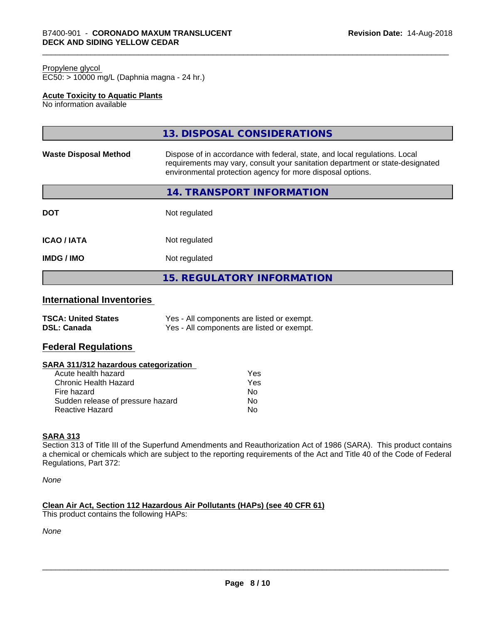#### Propylene glycol

EC50: > 10000 mg/L (Daphnia magna - 24 hr.)

# **Acute Toxicity to Aquatic Plants**

No information available

|                              | 13. DISPOSAL CONSIDERATIONS                                                                                                                                                                                               |  |
|------------------------------|---------------------------------------------------------------------------------------------------------------------------------------------------------------------------------------------------------------------------|--|
| <b>Waste Disposal Method</b> | Dispose of in accordance with federal, state, and local regulations. Local<br>requirements may vary, consult your sanitation department or state-designated<br>environmental protection agency for more disposal options. |  |
|                              | 14. TRANSPORT INFORMATION                                                                                                                                                                                                 |  |
| <b>DOT</b>                   | Not regulated                                                                                                                                                                                                             |  |
| <b>ICAO/IATA</b>             | Not regulated                                                                                                                                                                                                             |  |
| <b>IMDG/IMO</b>              | Not regulated                                                                                                                                                                                                             |  |
|                              | <b>15. REGULATORY INFORMATION</b>                                                                                                                                                                                         |  |

# **International Inventories**

| <b>TSCA: United States</b> | Yes - All components are listed or exempt. |
|----------------------------|--------------------------------------------|
| <b>DSL: Canada</b>         | Yes - All components are listed or exempt. |

# **Federal Regulations**

#### **SARA 311/312 hazardous categorization**

| Acute health hazard               | Yes |  |
|-----------------------------------|-----|--|
| Chronic Health Hazard             | Yes |  |
| Fire hazard                       | Nο  |  |
| Sudden release of pressure hazard | N٥  |  |
| Reactive Hazard                   | Nο  |  |

#### **SARA 313**

Section 313 of Title III of the Superfund Amendments and Reauthorization Act of 1986 (SARA). This product contains a chemical or chemicals which are subject to the reporting requirements of the Act and Title 40 of the Code of Federal Regulations, Part 372:

*None*

#### **Clean Air Act,Section 112 Hazardous Air Pollutants (HAPs) (see 40 CFR 61)**

This product contains the following HAPs:

*None*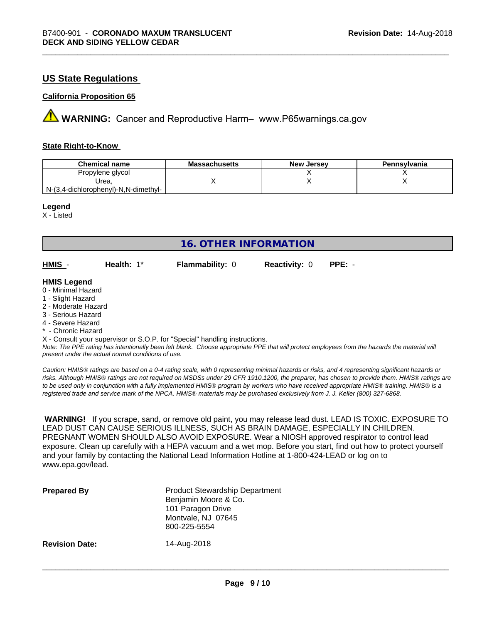# **US State Regulations**

### **California Proposition 65**

**AVIMARNING:** Cancer and Reproductive Harm– www.P65warnings.ca.gov

#### **State Right-to-Know**

| <b>Chemical name</b>                 | <b>Massachusetts</b> | <b>New Jersey</b> | Pennsylvania |
|--------------------------------------|----------------------|-------------------|--------------|
| Propylene glycol                     |                      |                   |              |
| Urea,                                |                      |                   |              |
| N-(3,4-dichlorophenyl)-N,N-dimethyl- |                      |                   |              |

#### **Legend**

X - Listed

| <b>16. OTHER INFORMATION</b>                                                         |            |                        |                      |          |  |
|--------------------------------------------------------------------------------------|------------|------------------------|----------------------|----------|--|
| HMIS -                                                                               | Health: 1* | <b>Flammability: 0</b> | <b>Reactivity: 0</b> | $PPE: -$ |  |
| <b>HMIS Legend</b><br>0 - Minimal Hazard<br>1 - Slight Hazard<br>2 - Moderate Hazard |            |                        |                      |          |  |
| 3 - Serious Hazard<br>4 - Severe Hazard                                              |            |                        |                      |          |  |

- 
- \* Chronic Hazard

X - Consult your supervisor or S.O.P. for "Special" handling instructions.

*Note: The PPE rating has intentionally been left blank. Choose appropriate PPE that will protect employees from the hazards the material will present under the actual normal conditions of use.*

*Caution: HMISÒ ratings are based on a 0-4 rating scale, with 0 representing minimal hazards or risks, and 4 representing significant hazards or risks. Although HMISÒ ratings are not required on MSDSs under 29 CFR 1910.1200, the preparer, has chosen to provide them. HMISÒ ratings are to be used only in conjunction with a fully implemented HMISÒ program by workers who have received appropriate HMISÒ training. HMISÒ is a registered trade and service mark of the NPCA. HMISÒ materials may be purchased exclusively from J. J. Keller (800) 327-6868.*

 **WARNING!** If you scrape, sand, or remove old paint, you may release lead dust. LEAD IS TOXIC. EXPOSURE TO LEAD DUST CAN CAUSE SERIOUS ILLNESS, SUCH AS BRAIN DAMAGE, ESPECIALLY IN CHILDREN. PREGNANT WOMEN SHOULD ALSO AVOID EXPOSURE. Wear a NIOSH approved respirator to control lead exposure. Clean up carefully with a HEPA vacuum and a wet mop. Before you start, find out how to protect yourself and your family by contacting the National Lead Information Hotline at 1-800-424-LEAD or log on to www.epa.gov/lead.

| <b>Prepared By</b>    | <b>Product Stewardship Department</b><br>Benjamin Moore & Co.<br>101 Paragon Drive<br>Montvale, NJ 07645<br>800-225-5554 |
|-----------------------|--------------------------------------------------------------------------------------------------------------------------|
| <b>Revision Date:</b> | 14-Aug-2018                                                                                                              |